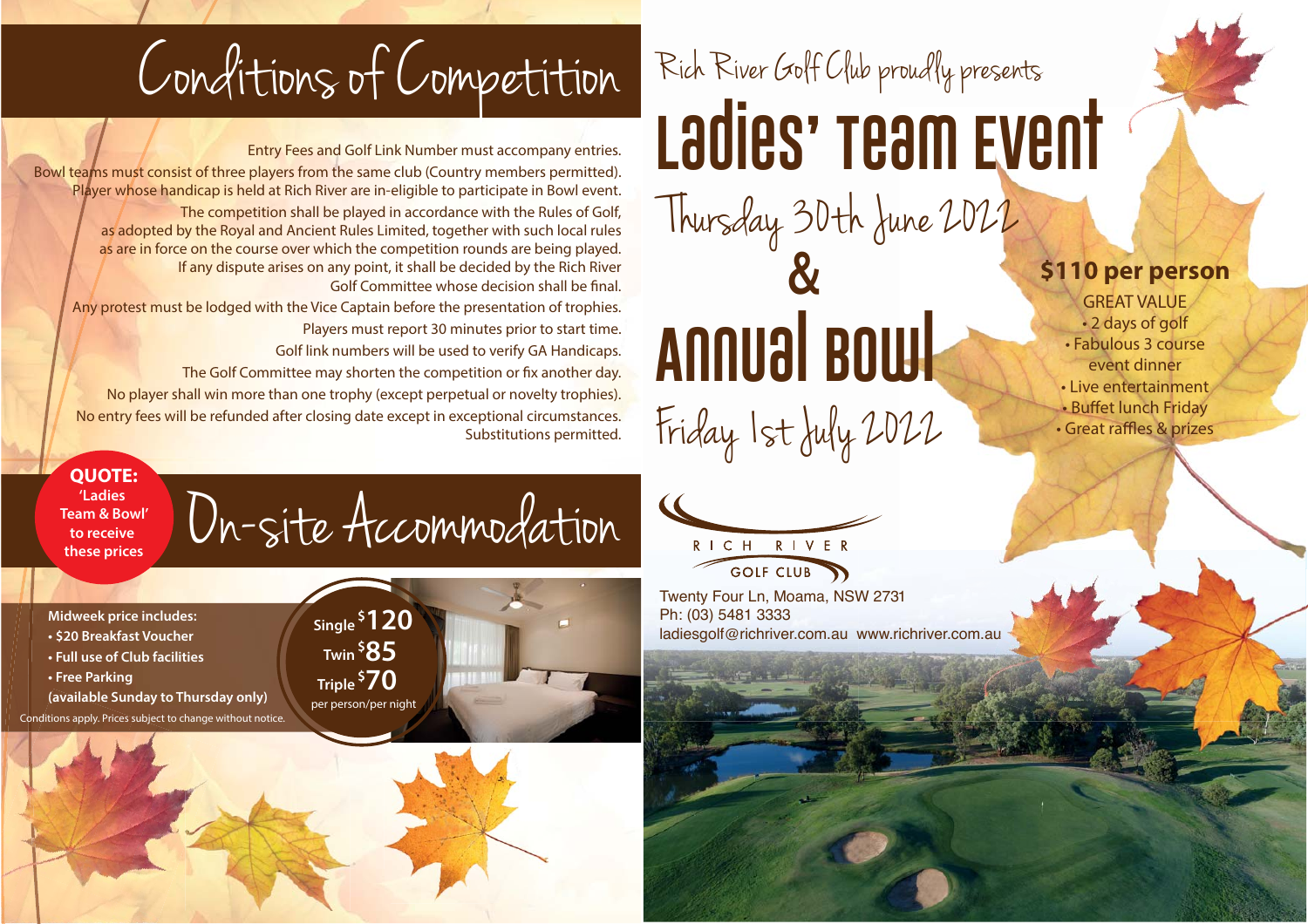Conditions of Competition

Entry Fees and Golf Link Number must accompany entries. Bowl teams must consist of three players from the same club (Country members permitted). Player whose handicap is held at Rich River are in-eligible to participate in Bowl event. The competition shall be played in accordance with the Rules of Golf, as adopted by the Royal and Ancient Rules Limited, together with such local rules as are in force on the course over which the competition rounds are being played. If any dispute arises on any point, it shall be decided by the Rich River Golf Committee whose decision shall be final.Any protest must be lodged with the Vice Captain before the presentation of trophies. Players must report 30 minutes prior to start time.

Golf link numbers will be used to verify GA Handicaps.

The Golf Committee may shorten the competition or fix another day.

No player shall win more than one trophy (except perpetual or novelty trophies). No entry fees will be refunded after closing date except in exceptional circumstances. Substitutions permitted.

**QUOTE: 'Ladies** 

**Team & Bowl'to receive these prices**

## On-site Accommodation

**Midweek price includes:**

- **\$20 Breakfast Voucher**
- **Full use of Club facilities**
- **Free Parking**
- **(available Sunday to Thursday only)**

Conditions apply. Prices subject to change without notice.



## Rich River Goff Club proudly presents **Ladies' Team Event** Thursday 30th June 2022

**\$110 per person** GREAT VALUE• 2 days of golf • Fabulous 3 course event dinner• Live entertainment• Buffet lunch Friday • Great raffles & prizes

## **Annual Bowl** Friday 1st July 2022 &



Twenty Four Ln, Moama, NSW 2731 Ph: (03) 5481 3333 ladiesgolf@richriver.com.au www.richriver.com.au